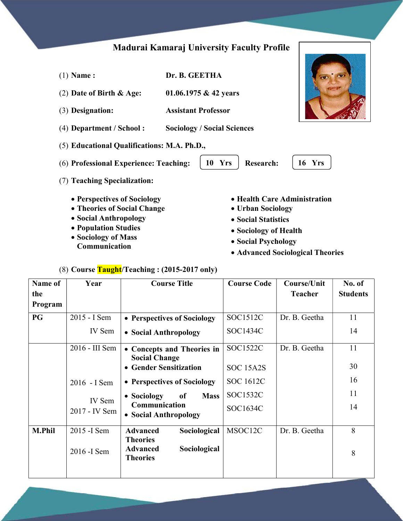# Madurai Kamaraj University Faculty Profile

| $(1)$ Name:                                                                                                                        | Dr. B. GEETHA |                                    |                                                                                                                          |        |
|------------------------------------------------------------------------------------------------------------------------------------|---------------|------------------------------------|--------------------------------------------------------------------------------------------------------------------------|--------|
| (2) Date of Birth $\&$ Age:                                                                                                        |               | 01.06.1975 & 42 years              |                                                                                                                          |        |
| (3) Designation:                                                                                                                   |               | <b>Assistant Professor</b>         |                                                                                                                          |        |
| (4) Department / School:                                                                                                           |               | <b>Sociology / Social Sciences</b> |                                                                                                                          |        |
| (5) Educational Qualifications: M.A. Ph.D.,                                                                                        |               |                                    |                                                                                                                          |        |
| (6) Professional Experience: Teaching:                                                                                             |               | <b>Yrs</b><br>10                   | <b>Research:</b>                                                                                                         | 16 Yrs |
| (7) Teaching Specialization:                                                                                                       |               |                                    |                                                                                                                          |        |
| • Perspectives of Sociology<br>• Theories of Social Change<br>• Social Anthropology<br>• Population Studies<br>• Sociology of Mass |               |                                    | • Health Care Administration<br>• Urban Sociology<br>• Social Statistics<br>• Sociology of Health<br>• Coojal Devehology |        |

Communication

- Social Psychology
- Advanced Sociological Theories

# (8) Course Taught/Teaching : (2015-2017 only)

| Name of        | Year           | <b>Course Title</b>                                                   | <b>Course Code</b> | Course/Unit    | No. of          |
|----------------|----------------|-----------------------------------------------------------------------|--------------------|----------------|-----------------|
| the<br>Program |                |                                                                       |                    | <b>Teacher</b> | <b>Students</b> |
| <b>PG</b>      | 2015 - I Sem   | • Perspectives of Sociology                                           | SOC1512C           | Dr. B. Geetha  | 11              |
|                | IV Sem         | • Social Anthropology                                                 | SOC1434C           |                | 14              |
|                | 2016 - III Sem | • Concepts and Theories in<br><b>Social Change</b>                    | SOC1522C           | Dr. B. Geetha  | 11              |
|                |                | <b>Gender Sensitization</b><br>$\bullet$                              | SOC 15A2S          |                | 30              |
|                | 2016 - I Sem   | • Perspectives of Sociology                                           | <b>SOC 1612C</b>   |                | 16              |
|                | IV Sem         | • Sociology<br>of<br><b>Mass</b>                                      | SOC1532C           |                | 11              |
|                | 2017 - IV Sem  | Communication<br>• Social Anthropology                                | SOC1634C           |                | 14              |
| <b>M.Phil</b>  | 2015 - I Sem   | Sociological<br><b>Advanced</b>                                       | MSOC12C            | Dr. B. Geetha  | 8               |
|                | 2016 - I Sem   | <b>Theories</b><br><b>Advanced</b><br>Sociological<br><b>Theories</b> |                    |                | 8               |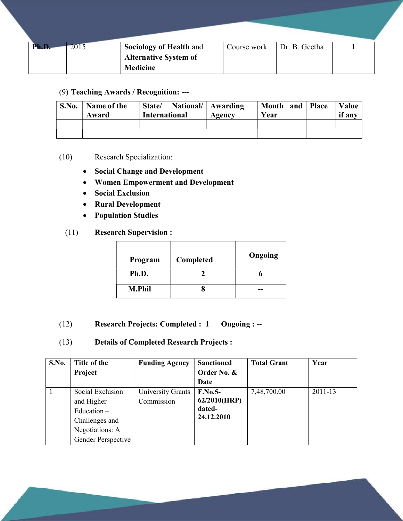| Ph.D | 2015 | <b>Sociology of Health and</b> | Course work | Dr. B. Geetha |  |
|------|------|--------------------------------|-------------|---------------|--|
|      |      | <b>Alternative System of</b>   |             |               |  |
|      |      | <b>Medicine</b>                |             |               |  |

#### (9) Teaching Awards / Recognition: ---

| S.No. | Name of the<br>Award | National/   Awarding<br>State/<br><b>International</b> | Agency | Month and Place<br>Year | Value<br>if any |
|-------|----------------------|--------------------------------------------------------|--------|-------------------------|-----------------|
|       |                      |                                                        |        |                         |                 |
|       |                      |                                                        |        |                         |                 |

#### (10) Research Specialization:

- Social Change and Development
- Women Empowerment and Development
- Social Exclusion
- Rural Development
- Population Studies
- (11) Research Supervision :

| Program       | Completed | Ongoing |
|---------------|-----------|---------|
| Ph.D.         |           |         |
| <b>M.Phil</b> |           |         |

- (12) Research Projects: Completed : 1 Ongoing : --
- (13) Details of Completed Research Projects :

| S.No. | Title of the       | <b>Funding Agency</b> | <b>Sanctioned</b> | <b>Total Grant</b> | Year    |
|-------|--------------------|-----------------------|-------------------|--------------------|---------|
|       | Project            |                       | Order No. &       |                    |         |
|       |                    |                       | Date              |                    |         |
|       | Social Exclusion   | University Grants     | $F.No.5-$         | 7,48,700.00        | 2011-13 |
|       | and Higher         | Commission            | 62/2010(HRP)      |                    |         |
|       | Education $-$      |                       | dated-            |                    |         |
|       | Challenges and     |                       | 24.12.2010        |                    |         |
|       | Negotiations: A    |                       |                   |                    |         |
|       | Gender Perspective |                       |                   |                    |         |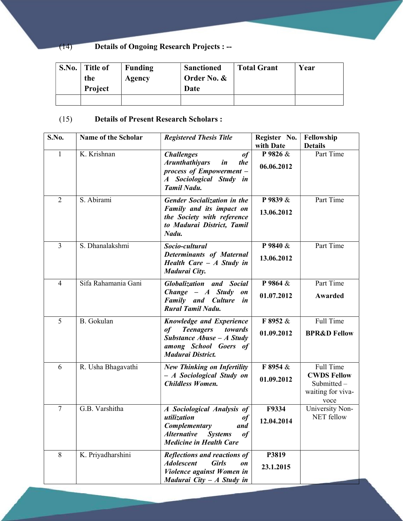### (14) Details of Ongoing Research Projects : --

| S.No. | Title of<br>the<br><b>Project</b> | Funding<br>Agency | <b>Sanctioned</b><br>Order No. &<br>Date | <b>Total Grant</b> | Year |
|-------|-----------------------------------|-------------------|------------------------------------------|--------------------|------|
|       |                                   |                   |                                          |                    |      |

### (15) Details of Present Research Scholars :

| S.No.          | Name of the Scholar | <b>Registered Thesis Title</b>                                                                                                                           | Register No.<br>with Date            | Fellowship<br><b>Details</b>                                               |
|----------------|---------------------|----------------------------------------------------------------------------------------------------------------------------------------------------------|--------------------------------------|----------------------------------------------------------------------------|
| 1              | K. Krishnan         | <b>Challenges</b><br>$\iota$<br><b>Arunthathiyars</b><br>in<br>the<br>process of Empowerment -<br>A Sociological Study in<br><b>Tamil Nadu.</b>          | P 9826 &<br>06.06.2012               | Part Time                                                                  |
| $\overline{2}$ | S. Abirami          | <b>Gender Socialization in the</b><br>Family and its impact on<br>the Society with reference<br>to Madurai District, Tamil<br>Nadu.                      | P 9839 &<br>13.06.2012               | Part Time                                                                  |
| $\overline{3}$ | S. Dhanalakshmi     | Socio-cultural<br><b>Determinants of Maternal</b><br>Health Care $-A$ Study in<br>Madurai City.                                                          | P 9840 &<br>13.06.2012               | Part Time                                                                  |
| $\overline{4}$ | Sifa Rahamania Gani | <b>Globalization</b> and Social<br>$Change - A$ Study<br>$\mathfrak{o}n$<br><b>Family</b> and <b>Culture</b><br>in<br><b>Rural Tamil Nadu.</b>           | P 9864 $\overline{\&}$<br>01.07.2012 | Part Time<br>Awarded                                                       |
| 5              | B. Gokulan          | <b>Knowledge and Experience</b><br><b>Teenagers</b><br>towards<br>of<br>Substance $Abuse - A$ Study<br>among School Goers of<br><b>Madurai District.</b> | F 8952 &<br>01.09.2012               | Full Time<br><b>BPR&amp;D Fellow</b>                                       |
| 6              | R. Usha Bhagavathi  | <b>New Thinking on Infertility</b><br>- A Sociological Study on<br><b>Childless Women.</b>                                                               | F8954 &<br>01.09.2012                | Full Time<br><b>CWDS Fellow</b><br>Submitted-<br>waiting for viva-<br>voce |
| $\overline{7}$ | G.B. Varshitha      | A Sociological Analysis of<br>utilization<br>of<br>Complementary<br>and<br><b>Alternative</b> Systems<br>of<br><b>Medicine in Health Care</b>            | F9334<br>12.04.2014                  | University Non-<br><b>NET</b> fellow                                       |
| 8              | K. Priyadharshini   | Reflections and reactions of<br><b>Adolescent</b><br><b>Girls</b><br>on<br>Violence against Women in<br><b>Madurai City – A Study in</b>                 | P3819<br>23.1.2015                   |                                                                            |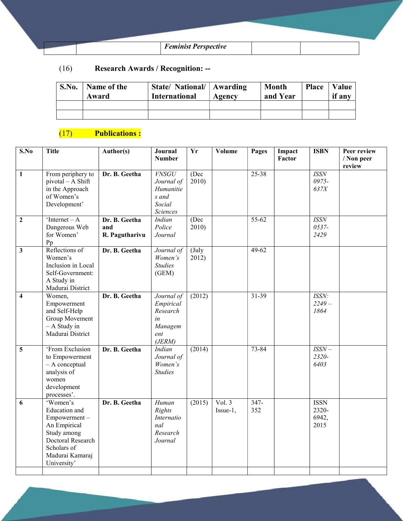| <b>Feminist Perspective</b> |  |
|-----------------------------|--|

### (16) Research Awards / Recognition: --

| S.No. | Name of the<br>Award | State/ National/   Awarding<br><b>International</b> | Agency | <b>Month</b><br>and Year | <b>Place</b> | Value<br>if any |
|-------|----------------------|-----------------------------------------------------|--------|--------------------------|--------------|-----------------|
|       |                      |                                                     |        |                          |              |                 |
|       |                      |                                                     |        |                          |              |                 |

# (17) Publications :

| $\overline{\mathbf{S}}$ .No | <b>Title</b>                                                                                                                                   | Author(s)                              | Journal<br><b>Number</b>                                               | $\overline{\mathbf{Yr}}$  | Volume               | Pages          | Impact<br>Factor | <b>ISBN</b>                           | Peer review<br>/ Non peer<br>review |
|-----------------------------|------------------------------------------------------------------------------------------------------------------------------------------------|----------------------------------------|------------------------------------------------------------------------|---------------------------|----------------------|----------------|------------------|---------------------------------------|-------------------------------------|
| $\mathbf{1}$                | From periphery to<br>pivotal - A Shift<br>in the Approach<br>of Women's<br>Development'                                                        | Dr. B. Geetha                          | <b>VNSGU</b><br>Journal of<br>Humanitie<br>s and<br>Social<br>Sciences | (Dec<br>2010              |                      | $25 - 38$      |                  | <b>ISSN</b><br>0975-<br>637X          |                                     |
| $\overline{2}$              | 'Internet – $\overline{A}$<br>Dangerous Web<br>for Women'<br>Pp                                                                                | Dr. B. Geetha<br>and<br>R. Pagutharivu | Indian<br>Police<br>Journal                                            | (Dec)<br>2010             |                      | $55-62$        |                  | <b>ISSN</b><br>0537-<br>2429          |                                     |
| $\overline{\mathbf{3}}$     | Reflections of<br>Women's<br>Inclusion in Local<br>Self-Government:<br>A Study in<br>Madurai District                                          | Dr. B. Geetha                          | Journal of<br>Women's<br><b>Studies</b><br>(GEM)                       | $(\mathrm{July}$<br>2012) |                      | $49-62$        |                  |                                       |                                     |
| $\overline{\mathbf{4}}$     | Women,<br>Empowerment<br>and Self-Help<br>Group Movement<br>$- A$ Study in<br>Madurai District                                                 | Dr. B. Geetha                          | Journal of<br>Empirical<br>Research<br>in<br>Managem<br>ent<br>(JERM)  | (2012)                    |                      | $31 - 39$      |                  | ISSN:<br>$2249-$<br>1864              |                                     |
| 5                           | 'From Exclusion<br>to Empowerment<br>- A conceptual<br>analysis of<br>women<br>development<br>processes'.                                      | Dr. B. Geetha                          | Indian<br>Journal of<br>Women's<br><b>Studies</b>                      | (2014)                    |                      | 73-84          |                  | $ISSN-$<br>2320-<br>6403              |                                     |
| 6                           | 'Women's<br>Education and<br>Empowerment-<br>An Empirical<br>Study among<br>Doctoral Research<br>Scholars of<br>Madurai Kamaraj<br>University' | Dr. B. Geetha                          | Human<br>Rights<br>Internatio<br>nal<br>Research<br>Journal            | (2015)                    | Vol. $3$<br>Issue-1, | $347 -$<br>352 |                  | <b>ISSN</b><br>2320-<br>6942,<br>2015 |                                     |
|                             |                                                                                                                                                |                                        |                                                                        |                           |                      |                |                  |                                       |                                     |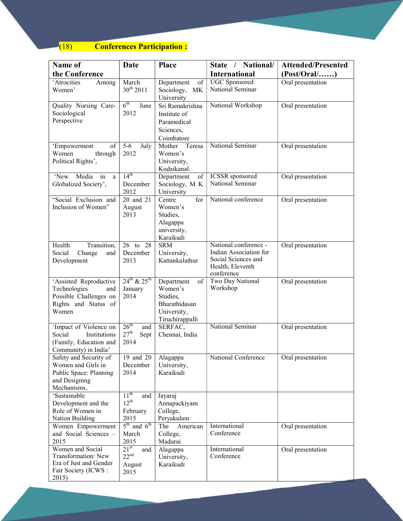# (18) Conferences Participation :

| Name of                                       | Date                         | <b>Place</b>                   | State / National/                               | <b>Attended/Presented</b> |
|-----------------------------------------------|------------------------------|--------------------------------|-------------------------------------------------|---------------------------|
| the Conference                                |                              |                                | <b>International</b>                            | (Post/Oral/)              |
| 'Atrocities<br>Among                          | March                        | Department<br>of               | <b>UGC</b> Sponsored                            | Oral presentation         |
| Women'                                        | $30^{th}$ 2011               | Sociology,<br>MK               | National Seminar                                |                           |
|                                               |                              | University                     |                                                 |                           |
| Quality Nursing Care-                         | $6^{\text{th}}$<br>June      | Sri Ramakrishna                | National Workshop                               | Oral presentation         |
| Sociological                                  | 2012                         | Institute of                   |                                                 |                           |
| Perspective                                   |                              | Paramedical                    |                                                 |                           |
|                                               |                              | Sciences,                      |                                                 |                           |
|                                               |                              | Coimbatore                     |                                                 |                           |
| 'Empowerment<br>of                            | $5 - 6$<br>July              | Mother<br>Teresa               | National Seminar                                | Oral presentation         |
| Women<br>through                              | 2012                         | Women's                        |                                                 |                           |
| Political Rights',                            |                              | University,<br>Kodaikanal.     |                                                 |                           |
| Media<br>'New<br>in<br>a                      | $14^{th}$                    | Department<br>of               | <b>ICSSR</b> sponsored                          | Oral presentation         |
| Globalized Society',                          | December                     | Sociology, M K                 | National Seminar                                |                           |
|                                               | 2012                         | University                     |                                                 |                           |
| "Social Exclusion and                         | 20 and 21                    | for<br>Centre                  | National conference                             | Oral presentation         |
| Inclusion of Women"                           | August                       | Women's                        |                                                 |                           |
|                                               | 2013                         | Studies,                       |                                                 |                           |
|                                               |                              | Alagappa                       |                                                 |                           |
|                                               |                              | university,                    |                                                 |                           |
|                                               |                              | Karaikudi                      |                                                 |                           |
| Transition,<br>Health                         | 26 to 28                     | <b>SRM</b>                     | National conference -<br>Indian Association for | Oral presentation         |
| Change<br>Social<br>and<br>Development        | December<br>2013             | University,<br>Kattankulathur  | Social Sciences and                             |                           |
|                                               |                              |                                | Health, Eleventh                                |                           |
|                                               |                              |                                | conference                                      |                           |
| 'Assisted Reproductive                        | $24^{th}$ & $25^{th}$        | Department<br>of               | Two Day National                                | Oral presentation         |
| Technologies<br>and                           | January                      | Women's                        | Workshop                                        |                           |
| Possible Challenges on                        | 2014                         | Studies,                       |                                                 |                           |
| Rights and Status of<br>Women                 |                              | Bharathidasan                  |                                                 |                           |
|                                               |                              | University,<br>Tiruchirappalli |                                                 |                           |
| 'Impact of Violence on                        | 26 <sup>th</sup><br>and      | SERFAC,                        | National Seminar                                | Oral presentation         |
| Social<br>Institutions                        | $27^{\rm th}$<br>Sept        | Chennai, India                 |                                                 |                           |
| (Family, Education and                        | 2014                         |                                |                                                 |                           |
| Community) in India'                          |                              |                                |                                                 |                           |
| Safety and Security of                        | 19 and 20                    | Alagappa                       | National Conference                             | Oral presentation         |
| Women and Girls in                            | December                     | University,                    |                                                 |                           |
| Public Space: Planning                        | 2014                         | Karaikudi                      |                                                 |                           |
| and Designing<br>Mechanisms,                  |                              |                                |                                                 |                           |
| 'Sustainable                                  | 11 <sup>th</sup><br>and      | Jayaraj                        |                                                 |                           |
| Development and the                           | $12^{th}$                    | Annapackiyam                   |                                                 |                           |
| Role of Women in                              | February                     | College,                       |                                                 |                           |
| Nation Building                               | 2015                         | Peryakulam                     |                                                 |                           |
| Women Empowerment                             | $5^{\text{th}}$<br>and $6th$ | American<br>The                | International                                   | Oral presentation         |
| and Social Sciences -                         | March                        | College,                       | Conference                                      |                           |
| 2015                                          | 2015                         | Madurai                        |                                                 |                           |
| Women and Social                              | $21^{\rm st}$<br>and         | Alagappa                       | International                                   | Oral presentation         |
| Transformation: New<br>Era of Just and Gender | $22^{nd}$                    | University,                    | Conference                                      |                           |
| Fair Society (ICWS:                           | August<br>2015               | Karaikudi                      |                                                 |                           |
| 2015)                                         |                              |                                |                                                 |                           |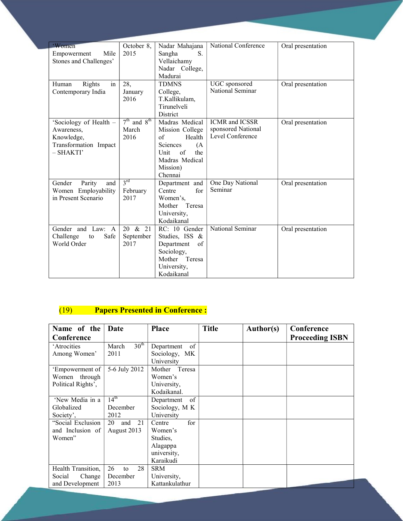| 'Women                  | October 8,                   | Nadar Mahajana            | National Conference          | Oral presentation |
|-------------------------|------------------------------|---------------------------|------------------------------|-------------------|
| Mile<br>Empowerment     | 2015                         | Sangha<br>S.              |                              |                   |
| Stones and Challenges'  |                              | Vellaichamy               |                              |                   |
|                         |                              | Nadar College,            |                              |                   |
|                         |                              | Madurai                   |                              |                   |
| Rights<br>Human<br>in   | 28.                          | <b>TDMNS</b>              | UGC sponsored                | Oral presentation |
| Contemporary India      | January                      | College,                  | National Seminar             |                   |
|                         | 2016                         | T.Kallikulam,             |                              |                   |
|                         |                              | Tirunelveli               |                              |                   |
|                         |                              | District                  |                              |                   |
| 'Sociology of Health -  | and $8th$<br>7 <sup>th</sup> | Madras Medical            | <b>ICMR</b> and <b>ICSSR</b> | Oral presentation |
| Awareness.              | March                        | Mission College           | sponsored National           |                   |
| Knowledge,              | 2016                         | Health<br>$\sigma$        | Level Conference             |                   |
| Transformation Impact   |                              | <b>Sciences</b><br>(A)    |                              |                   |
| - SHAKTI'               |                              | $\sigma$ f<br>the<br>Unit |                              |                   |
|                         |                              | Madras Medical            |                              |                   |
|                         |                              | Mission)                  |                              |                   |
|                         |                              | Chennai                   |                              |                   |
| Gender<br>Parity<br>and | $3^{rd}$                     | Department and            | One Day National             | Oral presentation |
| Women Employability     | February                     | Centre<br>for             | Seminar                      |                   |
| in Present Scenario     | 2017                         | Women's.                  |                              |                   |
|                         |                              | Mother<br>Teresa          |                              |                   |
|                         |                              | University,               |                              |                   |
|                         |                              | Kodaikanal                |                              |                   |
| Gender and Law: A       | 20 & 21                      | RC: 10 Gender             | National Seminar             | Oral presentation |
| Safe<br>Challenge<br>to | September                    | Studies, ISS &            |                              |                   |
| World Order             | 2017                         | Department<br>of          |                              |                   |
|                         |                              | Sociology,                |                              |                   |
|                         |                              | Teresa<br>Mother          |                              |                   |
|                         |                              | University,               |                              |                   |
|                         |                              | Kodaikanal                |                              |                   |
|                         |                              |                           |                              |                   |

# (19) Papers Presented in Conference :

| Name of the        | Date                      | <b>Place</b>     | <b>Title</b> | Author(s) | Conference             |
|--------------------|---------------------------|------------------|--------------|-----------|------------------------|
| Conference         |                           |                  |              |           | <b>Proceeding ISBN</b> |
| 'Atrocities        | 30 <sup>th</sup><br>March | of<br>Department |              |           |                        |
| Among Women'       | 2011                      | Sociology, MK    |              |           |                        |
|                    |                           | University       |              |           |                        |
| 'Empowerment of    | 5-6 July 2012             | Teresa<br>Mother |              |           |                        |
| Women through      |                           | Women's          |              |           |                        |
| Political Rights', |                           | University,      |              |           |                        |
|                    |                           | Kodaikanal.      |              |           |                        |
| 'New Media in a    | $14^{\text{th}}$          | of<br>Department |              |           |                        |
| Globalized         | December                  | Sociology, M K   |              |           |                        |
| Society',          | 2012                      | University       |              |           |                        |
| "Social Exclusion  | 21<br>and<br>20           | for<br>Centre    |              |           |                        |
| and Inclusion of   | August 2013               | Women's          |              |           |                        |
| Women"             |                           | Studies.         |              |           |                        |
|                    |                           | Alagappa         |              |           |                        |
|                    |                           | university,      |              |           |                        |
|                    |                           | Karaikudi        |              |           |                        |
| Health Transition, | 28<br>26<br>to            | <b>SRM</b>       |              |           |                        |
| Change<br>Social   | December                  | University,      |              |           |                        |
| and Development    | 2013                      | Kattankulathur   |              |           |                        |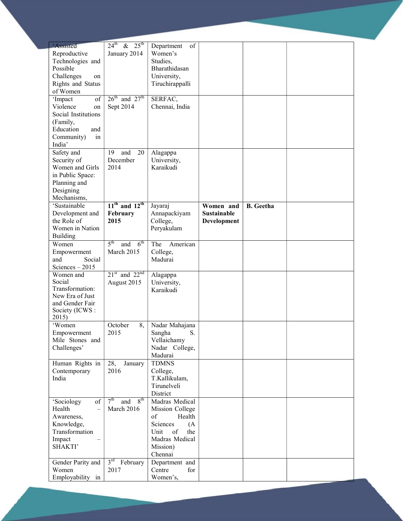| <b>Assisted</b>                    | $24^{\text{th}}$<br>$25^{\text{th}}$<br>$\&$ | of<br>Department      |                    |                  |  |
|------------------------------------|----------------------------------------------|-----------------------|--------------------|------------------|--|
| Reproductive                       | January 2014                                 | Women's               |                    |                  |  |
| Technologies and                   |                                              | Studies,              |                    |                  |  |
| Possible                           |                                              |                       |                    |                  |  |
|                                    |                                              | Bharathidasan         |                    |                  |  |
| Challenges<br>on                   |                                              | University,           |                    |                  |  |
| Rights and Status                  |                                              | Tiruchirappalli       |                    |                  |  |
| of Women                           |                                              |                       |                    |                  |  |
| of<br>'Impact                      | $26^{\text{th}}$ and $27^{\text{th}}$        | SERFAC,               |                    |                  |  |
| Violence<br>on                     | Sept 2014                                    | Chennai, India        |                    |                  |  |
| Social Institutions                |                                              |                       |                    |                  |  |
| (Family,                           |                                              |                       |                    |                  |  |
| Education<br>and                   |                                              |                       |                    |                  |  |
| Community)<br>in                   |                                              |                       |                    |                  |  |
| India'                             |                                              |                       |                    |                  |  |
| Safety and                         | 19<br>and<br>20                              | Alagappa              |                    |                  |  |
| Security of                        | December                                     | University,           |                    |                  |  |
| Women and Girls                    | 2014                                         | Karaikudi             |                    |                  |  |
| in Public Space:                   |                                              |                       |                    |                  |  |
| Planning and                       |                                              |                       |                    |                  |  |
|                                    |                                              |                       |                    |                  |  |
| Designing                          |                                              |                       |                    |                  |  |
| Mechanisms,                        |                                              |                       |                    |                  |  |
| 'Sustainable                       | $11th$ and $12th$                            | Jayaraj               | Women and          | <b>B.</b> Geetha |  |
| Development and                    | February                                     | Annapackiyam          | <b>Sustainable</b> |                  |  |
| the Role of                        | 2015                                         | College,              | Development        |                  |  |
| Women in Nation                    |                                              | Peryakulam            |                    |                  |  |
| <b>Building</b>                    |                                              |                       |                    |                  |  |
| Women                              | 5 <sup>th</sup><br>$6^{\text{th}}$<br>and    | The<br>American       |                    |                  |  |
| Empowerment                        | March 2015                                   | College,              |                    |                  |  |
| Social<br>and                      |                                              | Madurai               |                    |                  |  |
| Sciences $-2015$                   |                                              |                       |                    |                  |  |
| Women and                          | $21st$ and $22nd$                            | Alagappa              |                    |                  |  |
| Social                             | August 2015                                  | University,           |                    |                  |  |
| Transformation:                    |                                              | Karaikudi             |                    |                  |  |
| New Era of Just                    |                                              |                       |                    |                  |  |
| and Gender Fair                    |                                              |                       |                    |                  |  |
| Society (ICWS:                     |                                              |                       |                    |                  |  |
| 2015)                              |                                              |                       |                    |                  |  |
| 'Women                             | 8,<br>October                                | Nadar Mahajana        |                    |                  |  |
| Empowerment                        | 2015                                         | S.<br>Sangha          |                    |                  |  |
| Mile Stones and                    |                                              | Vellaichamy           |                    |                  |  |
| Challenges'                        |                                              | Nadar College,        |                    |                  |  |
|                                    |                                              | Madurai               |                    |                  |  |
| Human Rights in                    | 28,<br>January                               | <b>TDMNS</b>          |                    |                  |  |
| Contemporary                       | 2016                                         | College,              |                    |                  |  |
| India                              |                                              | T.Kallikulam,         |                    |                  |  |
|                                    |                                              | Tirunelveli           |                    |                  |  |
|                                    |                                              | District              |                    |                  |  |
| 'Sociology<br>of                   | 7 <sup>th</sup><br>8 <sup>th</sup><br>and    | Madras Medical        |                    |                  |  |
| Health<br>$\overline{\phantom{0}}$ | March 2016                                   |                       |                    |                  |  |
|                                    |                                              | Mission College<br>of |                    |                  |  |
| Awareness,                         |                                              | Health                |                    |                  |  |
| Knowledge,                         |                                              | Sciences<br>(A)       |                    |                  |  |
| Transformation                     |                                              | Unit<br>of<br>the     |                    |                  |  |
| Impact                             |                                              | Madras Medical        |                    |                  |  |
| SHAKTI'                            |                                              | Mission)              |                    |                  |  |
|                                    |                                              | Chennai               |                    |                  |  |
| Gender Parity and                  | $3^{\text{rd}}$<br>February                  | Department and        |                    |                  |  |
| Women                              | 2017                                         | Centre<br>for         |                    |                  |  |
| Employability in                   |                                              | Women's,              |                    |                  |  |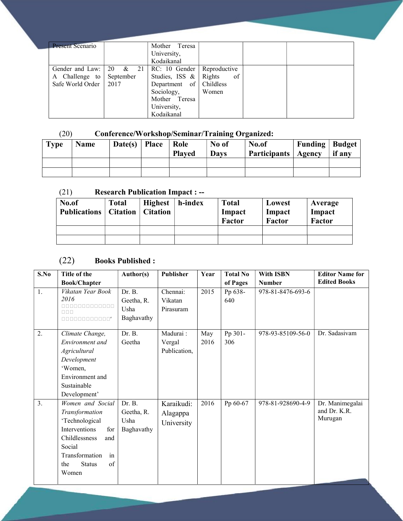| <b>Present Scenario</b> |           | Mother Teresa            |              |  |
|-------------------------|-----------|--------------------------|--------------|--|
|                         |           | University,              |              |  |
|                         |           | Kodaikanal               |              |  |
|                         |           |                          |              |  |
| A Challenge to          | September | Studies, ISS $\&$ Rights | of           |  |
| Safe World Order   2017 |           | Department of Childless  |              |  |
|                         |           | Sociology,               | <b>Women</b> |  |
|                         |           | Mother Teresa            |              |  |
|                         |           | University,              |              |  |
|                         |           | Kodaikanal               |              |  |

### (20) Conference/Workshop/Seminar/Training Organized:

| <b>Type</b> | <b>Name</b> | Date(s)   Place | Role<br><b>Played</b> | No of<br><b>Days</b> | No.of<br>Participants   Agency | <b>Funding Budget</b> | if any |
|-------------|-------------|-----------------|-----------------------|----------------------|--------------------------------|-----------------------|--------|
|             |             |                 |                       |                      |                                |                       |        |
|             |             |                 |                       |                      |                                |                       |        |

#### (21) Research Publication Impact : --

| No.of<br><b>Publications</b> | <b>Total</b> | <b>Highest</b><br><b>Citation</b>   Citation | h-index | <b>Total</b><br>Impact<br>Factor | Lowest<br>Impact<br>Factor | Average<br>Impact<br>Factor |
|------------------------------|--------------|----------------------------------------------|---------|----------------------------------|----------------------------|-----------------------------|
|                              |              |                                              |         |                                  |                            |                             |
|                              |              |                                              |         |                                  |                            |                             |

### (22) Books Published :

| S.No | Title of the                | Author(s)  | Publisher    | Year | <b>Total No</b> | <b>With ISBN</b>  | <b>Editor Name for</b> |
|------|-----------------------------|------------|--------------|------|-----------------|-------------------|------------------------|
|      | <b>Book/Chapter</b>         |            |              |      | of Pages        | <b>Number</b>     | <b>Edited Books</b>    |
| 1.   | Vikatan Year Book           | Dr. B.     | Chennai:     | 2015 | Pp 638-         | 978-81-8476-693-6 |                        |
|      | 2016                        | Geetha, R. | Vikatan      |      | 640             |                   |                        |
|      | 0000000000000<br>nnn        | Usha       | Pirasuram    |      |                 |                   |                        |
|      | 00000000000"                | Baghavathy |              |      |                 |                   |                        |
| 2.   | Climate Change,             | Dr. B.     | Madurai:     | May  | Pp 301-         | 978-93-85109-56-0 | Dr. Sadasivam          |
|      |                             |            |              |      |                 |                   |                        |
|      | Environment and             | Geetha     | Vergal       | 2016 | 306             |                   |                        |
|      | Agricultural                |            | Publication, |      |                 |                   |                        |
|      | Development                 |            |              |      |                 |                   |                        |
|      | 'Women,                     |            |              |      |                 |                   |                        |
|      | Environment and             |            |              |      |                 |                   |                        |
|      | Sustainable                 |            |              |      |                 |                   |                        |
|      | Development'                |            |              |      |                 |                   |                        |
| 3.   | Women and Social            | Dr. B.     | Karaikudi:   | 2016 | Pp 60-67        | 978-81-928690-4-9 | Dr. Manimegalai        |
|      | Transformation              | Geetha, R. | Alagappa     |      |                 |                   | and Dr. K.R.           |
|      | 'Technological              | Usha       | University   |      |                 |                   | Murugan                |
|      | <b>Interventions</b><br>for | Baghavathy |              |      |                 |                   |                        |
|      | Childlessness<br>and        |            |              |      |                 |                   |                        |
|      | Social                      |            |              |      |                 |                   |                        |
|      | in<br>Transformation        |            |              |      |                 |                   |                        |
|      | of<br><b>Status</b><br>the  |            |              |      |                 |                   |                        |
|      | Women                       |            |              |      |                 |                   |                        |
|      |                             |            |              |      |                 |                   |                        |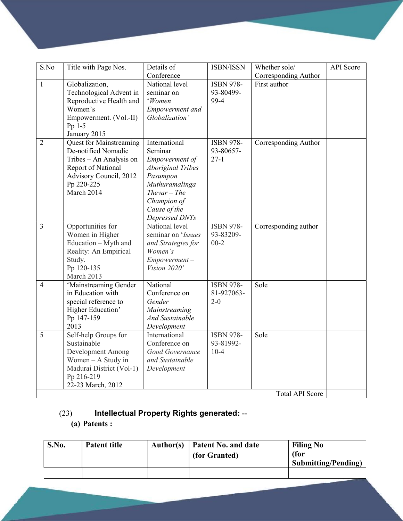| S.No           | Title with Page Nos.           | Details of               | ISBN/ISSN        | Whether sole/          | <b>API</b> Score |
|----------------|--------------------------------|--------------------------|------------------|------------------------|------------------|
|                |                                | Conference               |                  | Corresponding Author   |                  |
| $\mathbf{1}$   | Globalization,                 | National level           | <b>ISBN 978-</b> | First author           |                  |
|                | Technological Advent in        | seminar on               | 93-80499-        |                        |                  |
|                | Reproductive Health and        | 'Women                   | 99-4             |                        |                  |
|                | Women's                        | <b>Empowerment</b> and   |                  |                        |                  |
|                | Empowerment. (Vol.-II)         | Globalization'           |                  |                        |                  |
|                | Pp 1-5                         |                          |                  |                        |                  |
|                | January 2015                   |                          |                  |                        |                  |
| $\overline{2}$ | <b>Quest for Mainstreaming</b> | International            | <b>ISBN 978-</b> | Corresponding Author   |                  |
|                | De-notified Nomadic            | Seminar                  | 93-80657-        |                        |                  |
|                | Tribes - An Analysis on        | Empowerment of           | $27-1$           |                        |                  |
|                | Report of National             | <b>Aboriginal Tribes</b> |                  |                        |                  |
|                | Advisory Council, 2012         | Pasumpon                 |                  |                        |                  |
|                | Pp 220-225                     | Muthuramalinga           |                  |                        |                  |
|                | March 2014                     | $The var$ - The          |                  |                        |                  |
|                |                                | Champion of              |                  |                        |                  |
|                |                                | Cause of the             |                  |                        |                  |
|                |                                | Depressed DNTs           |                  |                        |                  |
| 3              | Opportunities for              | National level           | <b>ISBN 978-</b> | Corresponding author   |                  |
|                | Women in Higher                | seminar on 'Issues       | 93-83209-        |                        |                  |
|                | Education - Myth and           | and Strategies for       | $00-2$           |                        |                  |
|                | Reality: An Empirical          | Women's                  |                  |                        |                  |
|                | Study.                         | $Empowerment -$          |                  |                        |                  |
|                | Pp 120-135                     | Vision 2020'             |                  |                        |                  |
|                | March 2013                     |                          |                  |                        |                  |
| $\overline{4}$ | 'Mainstreaming Gender          | National                 | <b>ISBN 978-</b> | Sole                   |                  |
|                | in Education with              | Conference on            | 81-927063-       |                        |                  |
|                | special reference to           | Gender                   | $2 - 0$          |                        |                  |
|                | Higher Education'              | Mainstreaming            |                  |                        |                  |
|                | Pp 147-159                     | <b>And Sustainable</b>   |                  |                        |                  |
|                | 2013                           | Development              |                  |                        |                  |
| $\overline{5}$ | Self-help Groups for           | International            | <b>ISBN 978-</b> | Sole                   |                  |
|                | Sustainable                    | Conference on            | 93-81992-        |                        |                  |
|                | Development Among              | Good Governance          | $10-4$           |                        |                  |
|                | Women - A Study in             | and Sustainable          |                  |                        |                  |
|                | Madurai District (Vol-1)       | Development              |                  |                        |                  |
|                | Pp 216-219                     |                          |                  |                        |                  |
|                | 22-23 March, 2012              |                          |                  |                        |                  |
|                |                                |                          |                  | <b>Total API Score</b> |                  |

# (23) Intellectual Property Rights generated: --

# (a) Patents :

| S.No. | <b>Patent title</b> | Author(s) | Patent No. and date<br>(for Granted) | <b>Filing No</b><br>(for<br><b>Submitting/Pending)</b> |
|-------|---------------------|-----------|--------------------------------------|--------------------------------------------------------|
|       |                     |           |                                      |                                                        |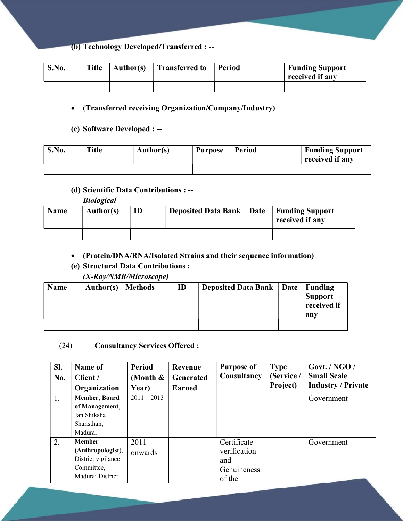#### (b) Technology Developed/Transferred : --

| S.No. | <b>Title</b> | <b>Author(s)</b> | <b>Transferred to</b> | Period | <b>Funding Support</b><br>received if any |
|-------|--------------|------------------|-----------------------|--------|-------------------------------------------|
|       |              |                  |                       |        |                                           |

#### (Transferred receiving Organization/Company/Industry)

#### (c) Software Developed : --

| S.No. | <b>Title</b> | <b>Author(s)</b> | <b>Purpose</b> | Period | <b>Funding Support</b><br>received if any |
|-------|--------------|------------------|----------------|--------|-------------------------------------------|
|       |              |                  |                |        |                                           |

#### (d) Scientific Data Contributions : --

Biological

| <b>Name</b> | <b>Author(s)</b> | ID | <b>Deposited Data Bank   Date</b> | Funding Support<br>received if any |
|-------------|------------------|----|-----------------------------------|------------------------------------|
|             |                  |    |                                   |                                    |

#### (Protein/DNA/RNA/Isolated Strains and their sequence information)

#### (e) Structural Data Contributions : (X-Ray/NMR/Microscope)

| Name | Author(s)   Methods | ID | Deposited Data Bank   Date   Funding | 'Support<br>$\frac{1}{1}$ received if<br>any |
|------|---------------------|----|--------------------------------------|----------------------------------------------|
|      |                     |    |                                      |                                              |

#### (24) Consultancy Services Offered :

| SI. | Name of            | <b>Period</b> | Revenue          | <b>Purpose of</b> | <b>Type</b> | Govt. / NGO /             |
|-----|--------------------|---------------|------------------|-------------------|-------------|---------------------------|
| No. | Client /           | (Month $\&$   | <b>Generated</b> | Consultancy       | (Service /  | <b>Small Scale</b>        |
|     | Organization       | Year)         | <b>Earned</b>    |                   | Project)    | <b>Industry / Private</b> |
| 1.  | Member, Board      | $2011 - 2013$ |                  |                   |             | Government                |
|     | of Management,     |               |                  |                   |             |                           |
|     | Jan Shiksha        |               |                  |                   |             |                           |
|     | Shansthan,         |               |                  |                   |             |                           |
|     | Madurai            |               |                  |                   |             |                           |
| 2.  | <b>Member</b>      | 2011          | --               | Certificate       |             | Government                |
|     | (Anthropologist),  | onwards       |                  | verification      |             |                           |
|     | District vigilance |               |                  | and               |             |                           |
|     | Committee,         |               |                  | Genuineness       |             |                           |
|     | Madurai District   |               |                  | of the            |             |                           |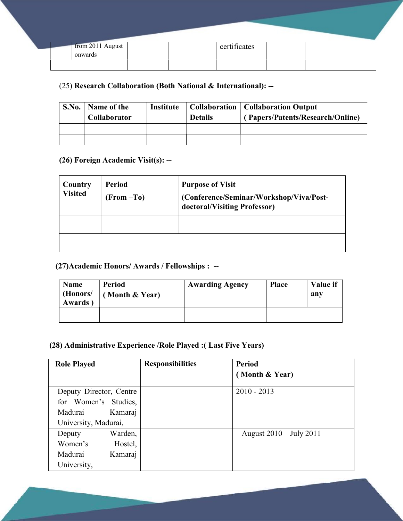|  | from 2011 August<br>onwards |  | certificates |  |
|--|-----------------------------|--|--------------|--|
|  |                             |  |              |  |

#### (25) Research Collaboration (Both National & International): --

| S.No. | Name of the<br>Collaborator | Institute | <b>Details</b> | <b>Collaboration</b>   Collaboration Output<br>(Papers/Patents/Research/Online) |
|-------|-----------------------------|-----------|----------------|---------------------------------------------------------------------------------|
|       |                             |           |                |                                                                                 |
|       |                             |           |                |                                                                                 |

#### (26) Foreign Academic Visit(s): --

| Country<br><b>Visited</b> | <b>Period</b><br>(From-To) | <b>Purpose of Visit</b><br>(Conference/Seminar/Workshop/Viva/Post-<br>doctoral/Visiting Professor) |
|---------------------------|----------------------------|----------------------------------------------------------------------------------------------------|
|                           |                            |                                                                                                    |
|                           |                            |                                                                                                    |

# (27)Academic Honors/ Awards / Fellowships : --

| <b>Name</b><br>(Honors/<br>Awards) | <b>Period</b><br>Month & Year) | <b>Awarding Agency</b> | <b>Place</b> | Value if<br>any |
|------------------------------------|--------------------------------|------------------------|--------------|-----------------|
|                                    |                                |                        |              |                 |

#### (28) Administrative Experience /Role Played :( Last Five Years)

| <b>Role Played</b>      | <b>Responsibilities</b> | <b>Period</b>                     |
|-------------------------|-------------------------|-----------------------------------|
|                         |                         | (Month & Year)                    |
| Deputy Director, Centre |                         | $2010 - 2013$                     |
| for Women's Studies,    |                         |                                   |
| Madurai<br>Kamaraj      |                         |                                   |
| University, Madurai,    |                         |                                   |
| Warden,<br>Deputy       |                         | August $2010 - \text{July } 2011$ |
| Women's<br>Hostel,      |                         |                                   |
| Madurai<br>Kamaraj      |                         |                                   |
| University,             |                         |                                   |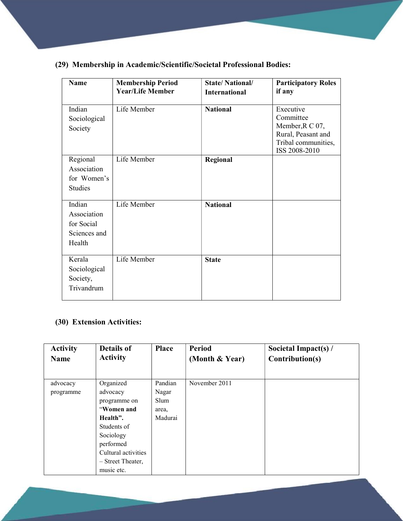### (29) Membership in Academic/Scientific/Societal Professional Bodies:

| <b>Name</b>                                                   | <b>Membership Period</b><br><b>Year/Life Member</b> | <b>State/National/</b><br><b>International</b> | <b>Participatory Roles</b><br>if any                                                                    |
|---------------------------------------------------------------|-----------------------------------------------------|------------------------------------------------|---------------------------------------------------------------------------------------------------------|
| Indian<br>Sociological<br>Society                             | Life Member                                         | <b>National</b>                                | Executive<br>Committee<br>Member, R C 07,<br>Rural, Peasant and<br>Tribal communities,<br>ISS 2008-2010 |
| Regional<br>Association<br>for Women's<br><b>Studies</b>      | Life Member                                         | Regional                                       |                                                                                                         |
| Indian<br>Association<br>for Social<br>Sciences and<br>Health | Life Member                                         | <b>National</b>                                |                                                                                                         |
| Kerala<br>Sociological<br>Society,<br>Trivandrum              | Life Member                                         | <b>State</b>                                   |                                                                                                         |

#### (30) Extension Activities:

| <b>Activity</b><br><b>Name</b> | Details of<br><b>Activity</b> | <b>Place</b> | <b>Period</b><br>(Month & Year) | Societal Impact(s) $/$<br>Contribution(s) |
|--------------------------------|-------------------------------|--------------|---------------------------------|-------------------------------------------|
|                                |                               |              |                                 |                                           |
| advocacy                       | Organized                     | Pandian      | November 2011                   |                                           |
| programme                      | advocacy                      | Nagar        |                                 |                                           |
|                                | programme on                  | Slum         |                                 |                                           |
|                                | "Women and                    | area,        |                                 |                                           |
|                                | Health".                      | Madurai      |                                 |                                           |
|                                | Students of                   |              |                                 |                                           |
|                                | Sociology                     |              |                                 |                                           |
|                                | performed                     |              |                                 |                                           |
|                                | Cultural activities           |              |                                 |                                           |
|                                | - Street Theater,             |              |                                 |                                           |
|                                | music etc.                    |              |                                 |                                           |